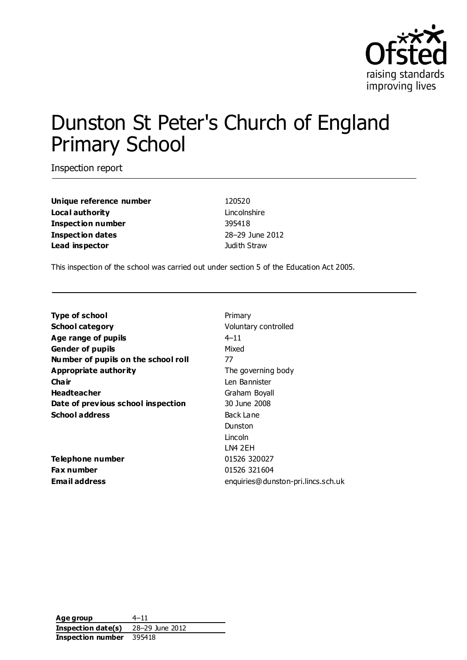

# Dunston St Peter's Church of England Primary School

Inspection report

**Unique reference number** 120520 **Local authority Lincolnshire Inspection number** 395418 **Inspection dates** 28–29 June 2012 **Lead inspector** Judith Straw

This inspection of the school was carried out under section 5 of the Education Act 2005.

| <b>Type of school</b>               | Prima    |
|-------------------------------------|----------|
| <b>School category</b>              | Volun    |
| Age range of pupils                 | $4 - 11$ |
| <b>Gender of pupils</b>             | Mixed    |
| Number of pupils on the school roll | 77       |
| <b>Appropriate authority</b>        | The g    |
| Cha ir                              | Len B    |
| <b>Headteacher</b>                  | Graha    |
| Date of previous school inspection  | 30 Jul   |
| School address                      | Back I   |
|                                     | Dunst    |
|                                     |          |

**Telephone number** 01526 320027 **Fax number** 01526 321604

**Primary School category** Voluntary controlled The governing body Len Bannister **Graham Boyall Date of previous school inspection** 30 June 2008 **Back Lane** Dunston Lincoln LN4 2EH **Email address** enquiries@dunston-pri.lincs.sch.uk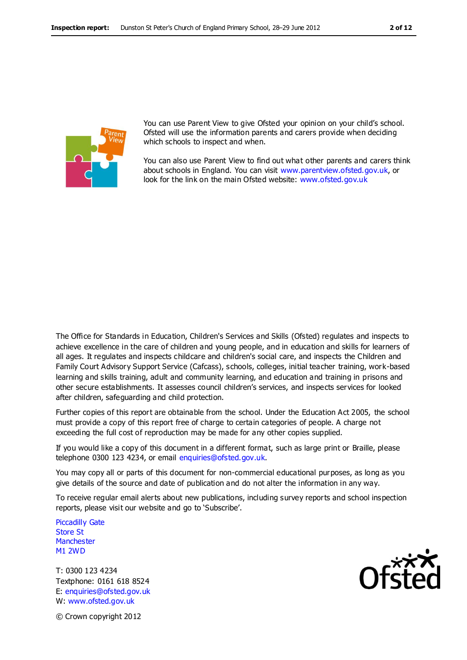

You can use Parent View to give Ofsted your opinion on your child's school. Ofsted will use the information parents and carers provide when deciding which schools to inspect and when.

You can also use Parent View to find out what other parents and carers think about schools in England. You can visit [www.parentview.ofsted.gov.uk,](http://www.parentview.ofsted.gov.uk/) or look for the link on the main Ofsted website: [www.ofsted.gov.uk](http://www.ofsted.gov.uk/)

The Office for Standards in Education, Children's Services and Skills (Ofsted) regulates and inspects to achieve excellence in the care of children and young people, and in education and skills for learners of all ages. It regulates and inspects childcare and children's social care, and inspects the Children and Family Court Advisory Support Service (Cafcass), schools, colleges, initial teacher training, work-based learning and skills training, adult and community learning, and education and training in prisons and other secure establishments. It assesses council children's services, and inspects services for looked after children, safeguarding and child protection.

Further copies of this report are obtainable from the school. Under the Education Act 2005, the school must provide a copy of this report free of charge to certain categories of people. A charge not exceeding the full cost of reproduction may be made for any other copies supplied.

If you would like a copy of this document in a different format, such as large print or Braille, please telephone 0300 123 4234, or email enquiries@ofsted.gov.uk.

You may copy all or parts of this document for non-commercial educational purposes, as long as you give details of the source and date of publication and do not alter the information in any way.

To receive regular email alerts about new publications, including survey reports and school inspection reports, please visit our website and go to 'Subscribe'.

Piccadilly Gate Store St **Manchester** M1 2WD

T: 0300 123 4234 Textphone: 0161 618 8524 E: enquiries@ofsted.gov.uk W: www.ofsted.gov.uk



© Crown copyright 2012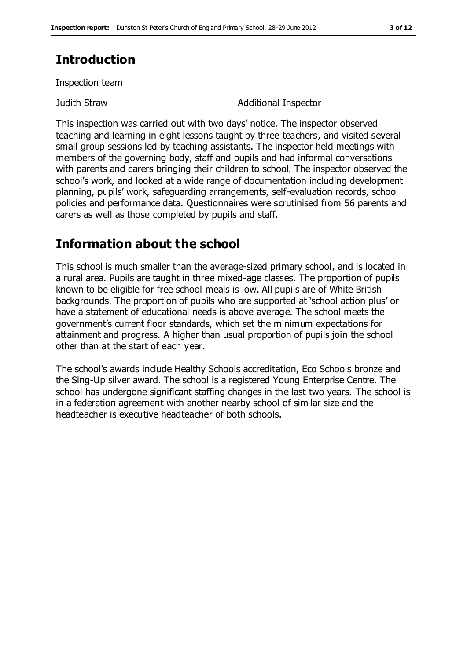### **Introduction**

Inspection team

Judith Straw Additional Inspector

This inspection was carried out with two days' notice. The inspector observed teaching and learning in eight lessons taught by three teachers, and visited several small group sessions led by teaching assistants. The inspector held meetings with members of the governing body, staff and pupils and had informal conversations with parents and carers bringing their children to school. The inspector observed the school's work, and looked at a wide range of documentation including development planning, pupils' work, safeguarding arrangements, self-evaluation records, school policies and performance data. Questionnaires were scrutinised from 56 parents and carers as well as those completed by pupils and staff.

### **Information about the school**

This school is much smaller than the average-sized primary school, and is located in a rural area. Pupils are taught in three mixed-age classes. The proportion of pupils known to be eligible for free school meals is low. All pupils are of White British backgrounds. The proportion of pupils who are supported at 'school action plus' or have a statement of educational needs is above average. The school meets the government's current floor standards, which set the minimum expectations for attainment and progress. A higher than usual proportion of pupils join the school other than at the start of each year.

The school's awards include Healthy Schools accreditation, Eco Schools bronze and the Sing-Up silver award. The school is a registered Young Enterprise Centre. The school has undergone significant staffing changes in the last two years. The school is in a federation agreement with another nearby school of similar size and the headteacher is executive headteacher of both schools.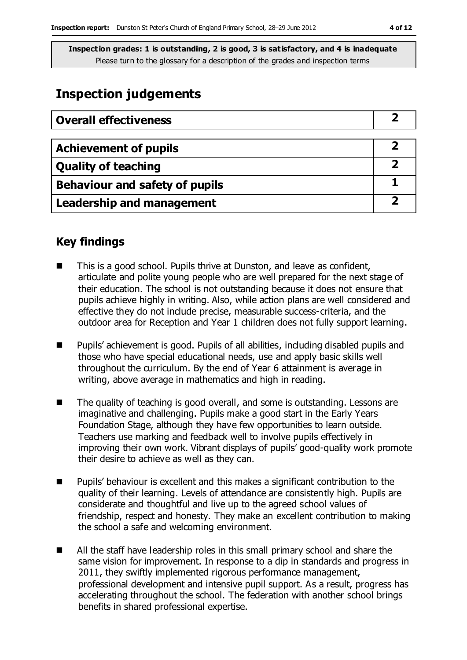### **Inspection judgements**

| <b>Overall effectiveness</b>          |  |
|---------------------------------------|--|
|                                       |  |
| <b>Achievement of pupils</b>          |  |
| <b>Quality of teaching</b>            |  |
| <b>Behaviour and safety of pupils</b> |  |
| <b>Leadership and management</b>      |  |

### **Key findings**

- This is a good school. Pupils thrive at Dunston, and leave as confident, articulate and polite young people who are well prepared for the next stage of their education. The school is not outstanding because it does not ensure that pupils achieve highly in writing. Also, while action plans are well considered and effective they do not include precise, measurable success-criteria, and the outdoor area for Reception and Year 1 children does not fully support learning.
- Pupils' achievement is good. Pupils of all abilities, including disabled pupils and those who have special educational needs, use and apply basic skills well throughout the curriculum. By the end of Year 6 attainment is average in writing, above average in mathematics and high in reading.
- The quality of teaching is good overall, and some is outstanding. Lessons are imaginative and challenging. Pupils make a good start in the Early Years Foundation Stage, although they have few opportunities to learn outside. Teachers use marking and feedback well to involve pupils effectively in improving their own work. Vibrant displays of pupils' good-quality work promote their desire to achieve as well as they can.
- $\blacksquare$  Pupils' behaviour is excellent and this makes a significant contribution to the quality of their learning. Levels of attendance are consistently high. Pupils are considerate and thoughtful and live up to the agreed school values of friendship, respect and honesty. They make an excellent contribution to making the school a safe and welcoming environment.
- All the staff have leadership roles in this small primary school and share the same vision for improvement. In response to a dip in standards and progress in 2011, they swiftly implemented rigorous performance management, professional development and intensive pupil support. As a result, progress has accelerating throughout the school. The federation with another school brings benefits in shared professional expertise.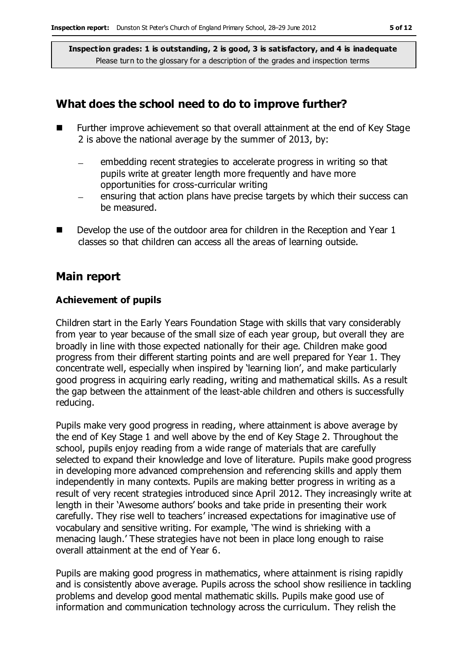### **What does the school need to do to improve further?**

- Further improve achievement so that overall attainment at the end of Key Stage 2 is above the national average by the summer of 2013, by:
	- embedding recent strategies to accelerate progress in writing so that pupils write at greater length more frequently and have more opportunities for cross-curricular writing
	- ensuring that action plans have precise targets by which their success can be measured.
- Develop the use of the outdoor area for children in the Reception and Year 1 classes so that children can access all the areas of learning outside.

#### **Main report**

#### **Achievement of pupils**

Children start in the Early Years Foundation Stage with skills that vary considerably from year to year because of the small size of each year group, but overall they are broadly in line with those expected nationally for their age. Children make good progress from their different starting points and are well prepared for Year 1. They concentrate well, especially when inspired by 'learning lion', and make particularly good progress in acquiring early reading, writing and mathematical skills. As a result the gap between the attainment of the least-able children and others is successfully reducing.

Pupils make very good progress in reading, where attainment is above average by the end of Key Stage 1 and well above by the end of Key Stage 2. Throughout the school, pupils enjoy reading from a wide range of materials that are carefully selected to expand their knowledge and love of literature. Pupils make good progress in developing more advanced comprehension and referencing skills and apply them independently in many contexts. Pupils are making better progress in writing as a result of very recent strategies introduced since April 2012. They increasingly write at length in their 'Awesome authors' books and take pride in presenting their work carefully. They rise well to teachers' increased expectations for imaginative use of vocabulary and sensitive writing. For example, 'The wind is shrieking with a menacing laugh.' These strategies have not been in place long enough to raise overall attainment at the end of Year 6.

Pupils are making good progress in mathematics, where attainment is rising rapidly and is consistently above average. Pupils across the school show resilience in tackling problems and develop good mental mathematic skills. Pupils make good use of information and communication technology across the curriculum. They relish the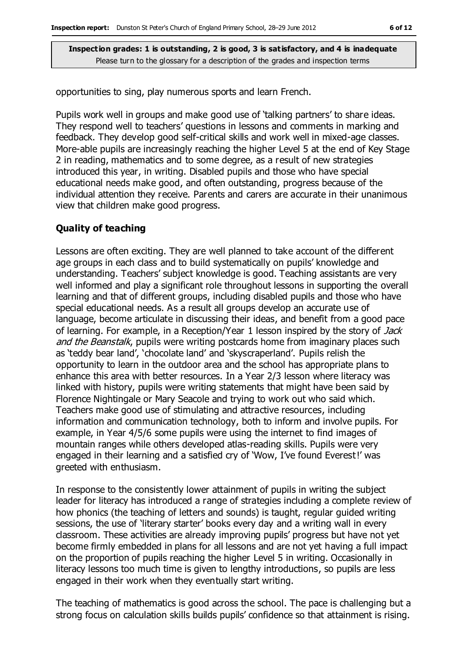opportunities to sing, play numerous sports and learn French.

Pupils work well in groups and make good use of 'talking partners' to share ideas. They respond well to teachers' questions in lessons and comments in marking and feedback. They develop good self-critical skills and work well in mixed-age classes. More-able pupils are increasingly reaching the higher Level 5 at the end of Key Stage 2 in reading, mathematics and to some degree, as a result of new strategies introduced this year, in writing. Disabled pupils and those who have special educational needs make good, and often outstanding, progress because of the individual attention they receive. Parents and carers are accurate in their unanimous view that children make good progress.

#### **Quality of teaching**

Lessons are often exciting. They are well planned to take account of the different age groups in each class and to build systematically on pupils' knowledge and understanding. Teachers' subject knowledge is good. Teaching assistants are very well informed and play a significant role throughout lessons in supporting the overall learning and that of different groups, including disabled pupils and those who have special educational needs. As a result all groups develop an accurate use of language, become articulate in discussing their ideas, and benefit from a good pace of learning. For example, in a Reception/Year 1 lesson inspired by the story of Jack and the Beanstalk, pupils were writing postcards home from imaginary places such as 'teddy bear land', 'chocolate land' and 'skyscraperland'. Pupils relish the opportunity to learn in the outdoor area and the school has appropriate plans to enhance this area with better resources. In a Year 2/3 lesson where literacy was linked with history, pupils were writing statements that might have been said by Florence Nightingale or Mary Seacole and trying to work out who said which. Teachers make good use of stimulating and attractive resources, including information and communication technology, both to inform and involve pupils. For example, in Year 4/5/6 some pupils were using the internet to find images of mountain ranges while others developed atlas-reading skills. Pupils were very engaged in their learning and a satisfied cry of 'Wow, I've found Everest!' was greeted with enthusiasm.

In response to the consistently lower attainment of pupils in writing the subject leader for literacy has introduced a range of strategies including a complete review of how phonics (the teaching of letters and sounds) is taught, regular guided writing sessions, the use of 'literary starter' books every day and a writing wall in every classroom. These activities are already improving pupils' progress but have not yet become firmly embedded in plans for all lessons and are not yet having a full impact on the proportion of pupils reaching the higher Level 5 in writing. Occasionally in literacy lessons too much time is given to lengthy introductions, so pupils are less engaged in their work when they eventually start writing.

The teaching of mathematics is good across the school. The pace is challenging but a strong focus on calculation skills builds pupils' confidence so that attainment is rising.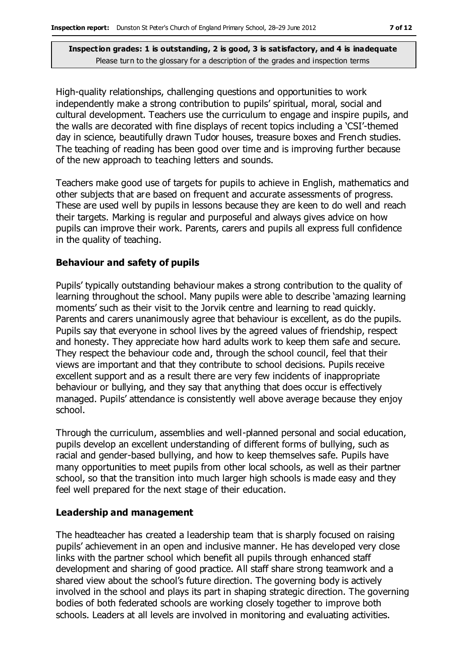High-quality relationships, challenging questions and opportunities to work independently make a strong contribution to pupils' spiritual, moral, social and cultural development. Teachers use the curriculum to engage and inspire pupils, and the walls are decorated with fine displays of recent topics including a 'CSI'-themed day in science, beautifully drawn Tudor houses, treasure boxes and French studies. The teaching of reading has been good over time and is improving further because of the new approach to teaching letters and sounds.

Teachers make good use of targets for pupils to achieve in English, mathematics and other subjects that are based on frequent and accurate assessments of progress. These are used well by pupils in lessons because they are keen to do well and reach their targets. Marking is regular and purposeful and always gives advice on how pupils can improve their work. Parents, carers and pupils all express full confidence in the quality of teaching.

#### **Behaviour and safety of pupils**

Pupils' typically outstanding behaviour makes a strong contribution to the quality of learning throughout the school. Many pupils were able to describe 'amazing learning moments' such as their visit to the Jorvik centre and learning to read quickly. Parents and carers unanimously agree that behaviour is excellent, as do the pupils. Pupils say that everyone in school lives by the agreed values of friendship, respect and honesty. They appreciate how hard adults work to keep them safe and secure. They respect the behaviour code and, through the school council, feel that their views are important and that they contribute to school decisions. Pupils receive excellent support and as a result there are very few incidents of inappropriate behaviour or bullying, and they say that anything that does occur is effectively managed. Pupils' attendance is consistently well above average because they enjoy school.

Through the curriculum, assemblies and well-planned personal and social education, pupils develop an excellent understanding of different forms of bullying, such as racial and gender-based bullying, and how to keep themselves safe. Pupils have many opportunities to meet pupils from other local schools, as well as their partner school, so that the transition into much larger high schools is made easy and they feel well prepared for the next stage of their education.

#### **Leadership and management**

The headteacher has created a leadership team that is sharply focused on raising pupils' achievement in an open and inclusive manner. He has developed very close links with the partner school which benefit all pupils through enhanced staff development and sharing of good practice. All staff share strong teamwork and a shared view about the school's future direction. The governing body is actively involved in the school and plays its part in shaping strategic direction. The governing bodies of both federated schools are working closely together to improve both schools. Leaders at all levels are involved in monitoring and evaluating activities.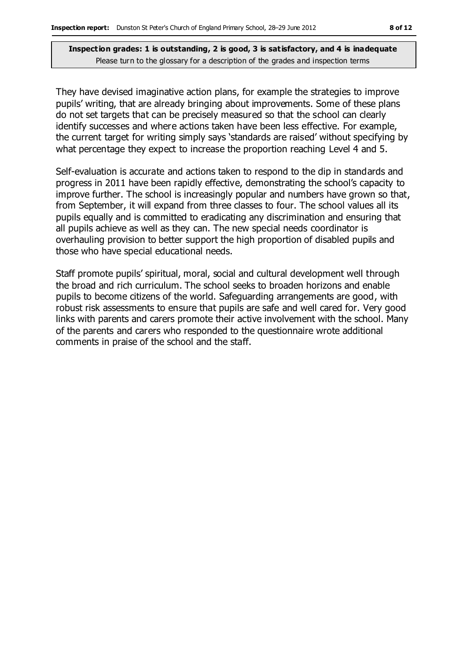They have devised imaginative action plans, for example the strategies to improve pupils' writing, that are already bringing about improvements. Some of these plans do not set targets that can be precisely measured so that the school can clearly identify successes and where actions taken have been less effective. For example, the current target for writing simply says 'standards are raised' without specifying by what percentage they expect to increase the proportion reaching Level 4 and 5.

Self-evaluation is accurate and actions taken to respond to the dip in standards and progress in 2011 have been rapidly effective, demonstrating the school's capacity to improve further. The school is increasingly popular and numbers have grown so that, from September, it will expand from three classes to four. The school values all its pupils equally and is committed to eradicating any discrimination and ensuring that all pupils achieve as well as they can. The new special needs coordinator is overhauling provision to better support the high proportion of disabled pupils and those who have special educational needs.

Staff promote pupils' spiritual, moral, social and cultural development well through the broad and rich curriculum. The school seeks to broaden horizons and enable pupils to become citizens of the world. Safeguarding arrangements are good, with robust risk assessments to ensure that pupils are safe and well cared for. Very good links with parents and carers promote their active involvement with the school. Many of the parents and carers who responded to the questionnaire wrote additional comments in praise of the school and the staff.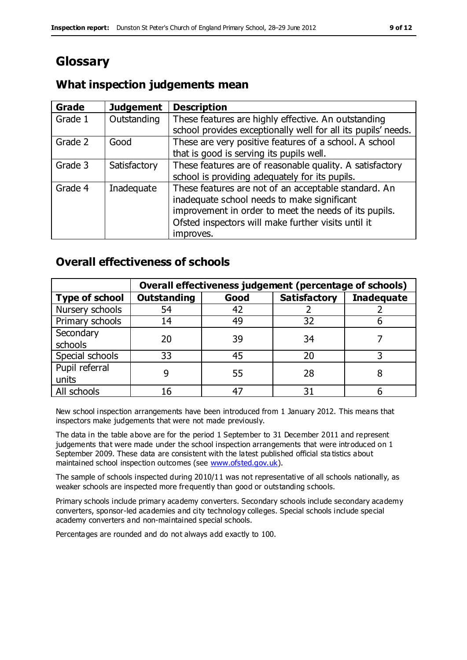# **Glossary**

### **What inspection judgements mean**

| Grade   | <b>Judgement</b> | <b>Description</b>                                            |
|---------|------------------|---------------------------------------------------------------|
| Grade 1 | Outstanding      | These features are highly effective. An outstanding           |
|         |                  | school provides exceptionally well for all its pupils' needs. |
| Grade 2 | Good             | These are very positive features of a school. A school        |
|         |                  | that is good is serving its pupils well.                      |
| Grade 3 | Satisfactory     | These features are of reasonable quality. A satisfactory      |
|         |                  | school is providing adequately for its pupils.                |
| Grade 4 | Inadequate       | These features are not of an acceptable standard. An          |
|         |                  | inadequate school needs to make significant                   |
|         |                  | improvement in order to meet the needs of its pupils.         |
|         |                  | Ofsted inspectors will make further visits until it           |
|         |                  | improves.                                                     |

### **Overall effectiveness of schools**

|                       | Overall effectiveness judgement (percentage of schools) |      |                     |                   |
|-----------------------|---------------------------------------------------------|------|---------------------|-------------------|
| <b>Type of school</b> | <b>Outstanding</b>                                      | Good | <b>Satisfactory</b> | <b>Inadequate</b> |
| Nursery schools       | 54                                                      | 42   |                     |                   |
| Primary schools       | 14                                                      | 49   | 32                  |                   |
| Secondary             | 20                                                      | 39   | 34                  |                   |
| schools               |                                                         |      |                     |                   |
| Special schools       | 33                                                      | 45   | 20                  |                   |
| Pupil referral        |                                                         | 55   | 28                  |                   |
| units                 |                                                         |      |                     |                   |
| All schools           | 16                                                      | 47   | 31                  |                   |

New school inspection arrangements have been introduced from 1 January 2012. This means that inspectors make judgements that were not made previously.

The data in the table above are for the period 1 September to 31 December 2011 and represent judgements that were made under the school inspection arrangements that were introduced on 1 September 2009. These data are consistent with the latest published official sta tistics about maintained school inspection outcomes (see [www.ofsted.gov.uk\)](http://www.ofsted.gov.uk/).

The sample of schools inspected during 2010/11 was not representative of all schools nationally, as weaker schools are inspected more frequently than good or outstanding schools.

Primary schools include primary academy converters. Secondary schools include secondary academy converters, sponsor-led academies and city technology colleges. Special schools include special academy converters and non-maintained special schools.

Percentages are rounded and do not always add exactly to 100.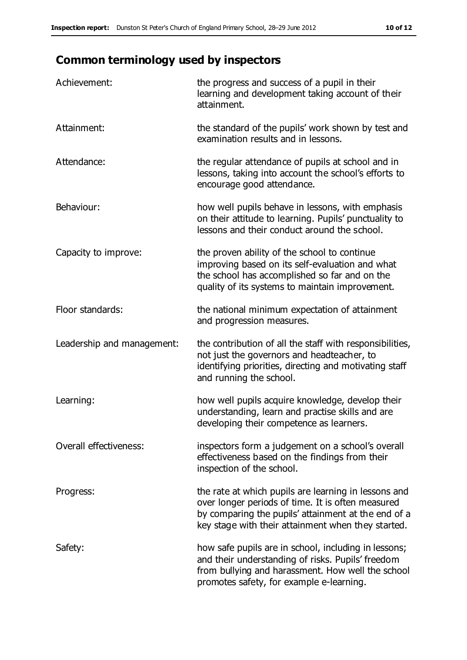## **Common terminology used by inspectors**

| Achievement:               | the progress and success of a pupil in their<br>learning and development taking account of their<br>attainment.                                                                                                        |
|----------------------------|------------------------------------------------------------------------------------------------------------------------------------------------------------------------------------------------------------------------|
| Attainment:                | the standard of the pupils' work shown by test and<br>examination results and in lessons.                                                                                                                              |
| Attendance:                | the regular attendance of pupils at school and in<br>lessons, taking into account the school's efforts to<br>encourage good attendance.                                                                                |
| Behaviour:                 | how well pupils behave in lessons, with emphasis<br>on their attitude to learning. Pupils' punctuality to<br>lessons and their conduct around the school.                                                              |
| Capacity to improve:       | the proven ability of the school to continue<br>improving based on its self-evaluation and what<br>the school has accomplished so far and on the<br>quality of its systems to maintain improvement.                    |
| Floor standards:           | the national minimum expectation of attainment<br>and progression measures.                                                                                                                                            |
| Leadership and management: | the contribution of all the staff with responsibilities,<br>not just the governors and headteacher, to<br>identifying priorities, directing and motivating staff<br>and running the school.                            |
| Learning:                  | how well pupils acquire knowledge, develop their<br>understanding, learn and practise skills and are<br>developing their competence as learners.                                                                       |
| Overall effectiveness:     | inspectors form a judgement on a school's overall<br>effectiveness based on the findings from their<br>inspection of the school.                                                                                       |
| Progress:                  | the rate at which pupils are learning in lessons and<br>over longer periods of time. It is often measured<br>by comparing the pupils' attainment at the end of a<br>key stage with their attainment when they started. |
| Safety:                    | how safe pupils are in school, including in lessons;<br>and their understanding of risks. Pupils' freedom<br>from bullying and harassment. How well the school<br>promotes safety, for example e-learning.             |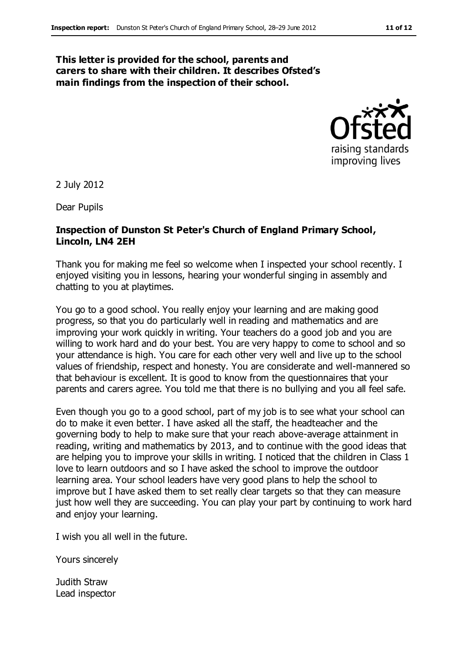#### **This letter is provided for the school, parents and carers to share with their children. It describes Ofsted's main findings from the inspection of their school.**



2 July 2012

Dear Pupils

#### **Inspection of Dunston St Peter's Church of England Primary School, Lincoln, LN4 2EH**

Thank you for making me feel so welcome when I inspected your school recently. I enjoyed visiting you in lessons, hearing your wonderful singing in assembly and chatting to you at playtimes.

You go to a good school. You really enjoy your learning and are making good progress, so that you do particularly well in reading and mathematics and are improving your work quickly in writing. Your teachers do a good job and you are willing to work hard and do your best. You are very happy to come to school and so your attendance is high. You care for each other very well and live up to the school values of friendship, respect and honesty. You are considerate and well-mannered so that behaviour is excellent. It is good to know from the questionnaires that your parents and carers agree. You told me that there is no bullying and you all feel safe.

Even though you go to a good school, part of my job is to see what your school can do to make it even better. I have asked all the staff, the headteacher and the governing body to help to make sure that your reach above-average attainment in reading, writing and mathematics by 2013, and to continue with the good ideas that are helping you to improve your skills in writing. I noticed that the children in Class 1 love to learn outdoors and so I have asked the school to improve the outdoor learning area. Your school leaders have very good plans to help the school to improve but I have asked them to set really clear targets so that they can measure just how well they are succeeding. You can play your part by continuing to work hard and enjoy your learning.

I wish you all well in the future.

Yours sincerely

Judith Straw Lead inspector